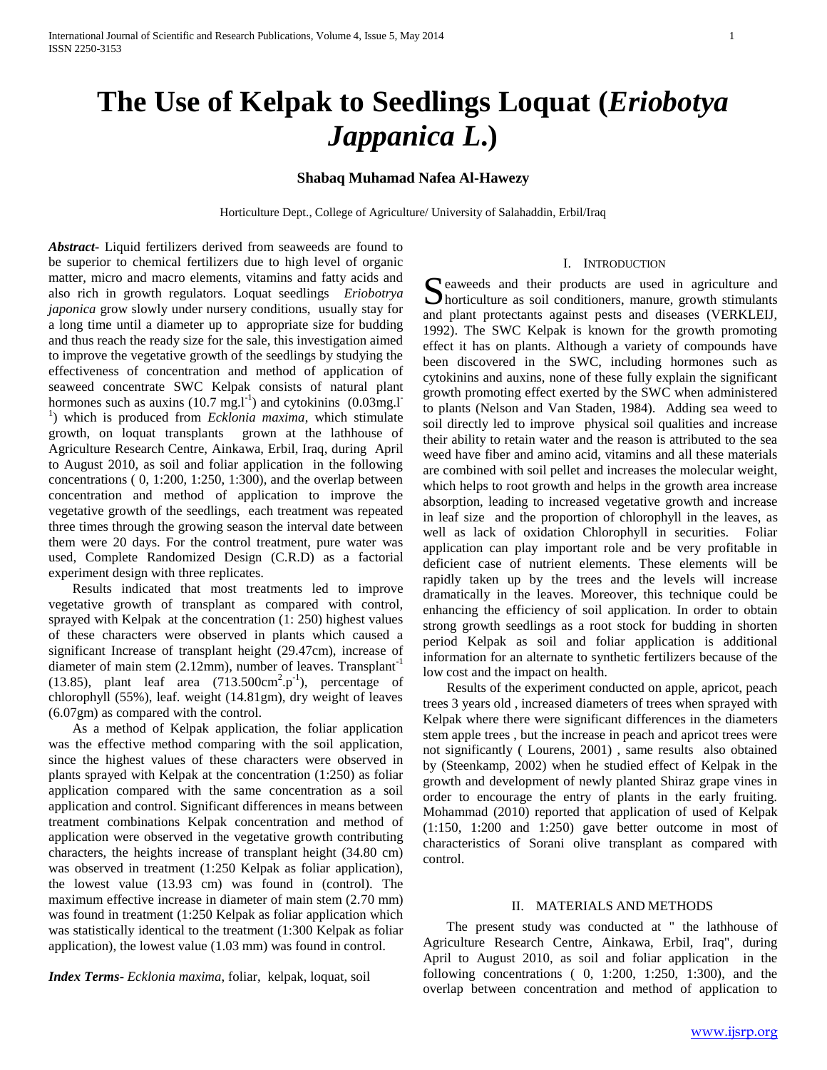# **The Use of Kelpak to Seedlings Loquat (***Eriobotya Jappanica L***.)**

## **Shabaq Muhamad Nafea Al-Hawezy**

Horticulture Dept., College of Agriculture/ University of Salahaddin, Erbil/Iraq

*Abstract***-** Liquid fertilizers derived from seaweeds are found to be superior to chemical fertilizers due to high level of organic matter, micro and macro elements, vitamins and fatty acids and also rich in growth regulators. Loquat seedlings *Eriobotrya japonica* grow slowly under nursery conditions, usually stay for a long time until a diameter up to appropriate size for budding and thus reach the ready size for the sale, this investigation aimed to improve the vegetative growth of the seedlings by studying the effectiveness of concentration and method of application of seaweed concentrate SWC Kelpak consists of natural plant hormones such as auxins  $(10.7 \text{ mg.} \text{L}^{\text{-1}})$  and cytokinins  $(0.03 \text{ mg.} \text{L}^{\text{-1}})$ <sup>1</sup>) which is produced from *Ecklonia maxima*, which stimulate growth, on loquat transplants grown at the lathhouse of Agriculture Research Centre, Ainkawa, Erbil, Iraq, during April to August 2010, as soil and foliar application in the following concentrations ( 0, 1:200, 1:250, 1:300), and the overlap between concentration and method of application to improve the vegetative growth of the seedlings, each treatment was repeated three times through the growing season the interval date between them were 20 days. For the control treatment, pure water was used, Complete Randomized Design (C.R.D) as a factorial experiment design with three replicates.

 Results indicated that most treatments led to improve vegetative growth of transplant as compared with control, sprayed with Kelpak at the concentration (1: 250) highest values of these characters were observed in plants which caused a significant Increase of transplant height (29.47cm), increase of diameter of main stem (2.12mm), number of leaves. Transplant<sup>-1</sup> (13.85), plant leaf area  $(713.500 \text{cm}^2 \cdot \text{p}^{-1})$ , percentage of chlorophyll (55%), leaf. weight (14.81gm), dry weight of leaves (6.07gm) as compared with the control.

 As a method of Kelpak application, the foliar application was the effective method comparing with the soil application, since the highest values of these characters were observed in plants sprayed with Kelpak at the concentration (1:250) as foliar application compared with the same concentration as a soil application and control. Significant differences in means between treatment combinations Kelpak concentration and method of application were observed in the vegetative growth contributing characters, the heights increase of transplant height (34.80 cm) was observed in treatment (1:250 Kelpak as foliar application), the lowest value (13.93 cm) was found in (control). The maximum effective increase in diameter of main stem (2.70 mm) was found in treatment (1:250 Kelpak as foliar application which was statistically identical to the treatment (1:300 Kelpak as foliar application), the lowest value (1.03 mm) was found in control.

*Index Terms*- *Ecklonia maxima*, foliar, kelpak, loquat, soil

#### I. INTRODUCTION

 $\Gamma$  eaweeds and their products are used in agriculture and Seaweeds and their products are used in agriculture and horticulture as soil conditioners, manure, growth stimulants and plant protectants against pests and diseases (VERKLEIJ, 1992). The SWC Kelpak is known for the growth promoting effect it has on plants. Although a variety of compounds have been discovered in the SWC, including hormones such as cytokinins and auxins, none of these fully explain the significant growth promoting effect exerted by the SWC when administered to plants (Nelson and Van Staden, 1984). Adding sea weed to soil directly led to improve physical soil qualities and increase their ability to retain water and the reason is attributed to the sea weed have fiber and amino acid, vitamins and all these materials are combined with soil pellet and increases the molecular weight, which helps to root growth and helps in the growth area increase absorption, leading to increased vegetative growth and increase in leaf size and the proportion of chlorophyll in the leaves, as well as lack of oxidation Chlorophyll in securities. Foliar application can play important role and be very profitable in deficient case of nutrient elements. These elements will be rapidly taken up by the trees and the levels will increase dramatically in the leaves. Moreover, this technique could be enhancing the efficiency of soil application. In order to obtain strong growth seedlings as a root stock for budding in shorten period Kelpak as soil and foliar application is additional information for an alternate to synthetic fertilizers because of the low cost and the impact on health.

 Results of the experiment conducted on apple, apricot, peach trees 3 years old , increased diameters of trees when sprayed with Kelpak where there were significant differences in the diameters stem apple trees , but the increase in peach and apricot trees were not significantly ( Lourens, 2001) , same results also obtained by (Steenkamp, 2002) when he studied effect of Kelpak in the growth and development of newly planted Shiraz grape vines in order to encourage the entry of plants in the early fruiting. Mohammad (2010) reported that application of used of Kelpak (1:150, 1:200 and 1:250) gave better outcome in most of characteristics of Sorani olive transplant as compared with control.

## II. MATERIALS AND METHODS

 The present study was conducted at " the lathhouse of Agriculture Research Centre, Ainkawa, Erbil, Iraq", during April to August 2010, as soil and foliar application in the following concentrations ( 0, 1:200, 1:250, 1:300), and the overlap between concentration and method of application to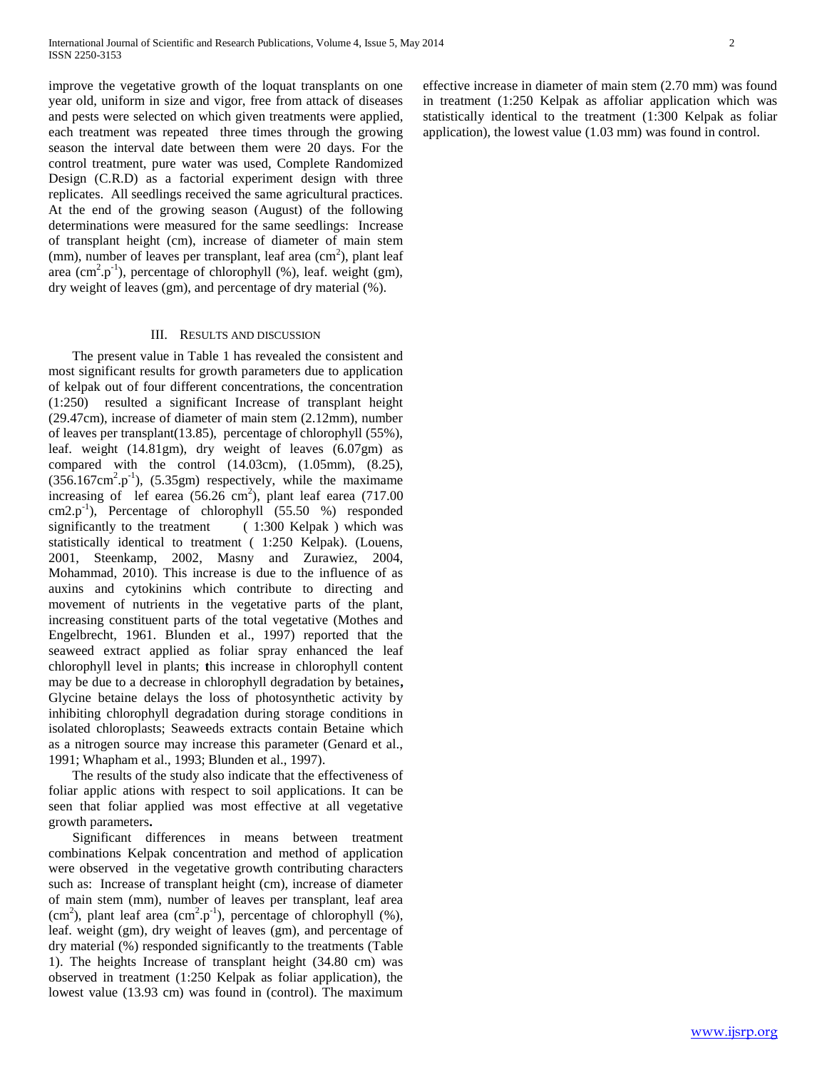improve the vegetative growth of the loquat transplants on one year old, uniform in size and vigor, free from attack of diseases and pests were selected on which given treatments were applied, each treatment was repeated three times through the growing season the interval date between them were 20 days. For the control treatment, pure water was used, Complete Randomized Design (C.R.D) as a factorial experiment design with three replicates. All seedlings received the same agricultural practices. At the end of the growing season (August) of the following determinations were measured for the same seedlings: Increase of transplant height (cm), increase of diameter of main stem  $(nm)$ , number of leaves per transplant, leaf area  $(cm<sup>2</sup>)$ , plant leaf area  $(cm^2.p^{-1})$ , percentage of chlorophyll  $(\%)$ , leaf. weight (gm), dry weight of leaves (gm), and percentage of dry material (%).

#### III. RESULTS AND DISCUSSION

 The present value in Table 1 has revealed the consistent and most significant results for growth parameters due to application of kelpak out of four different concentrations, the concentration (1:250) resulted a significant Increase of transplant height (29.47cm), increase of diameter of main stem (2.12mm), number of leaves per transplant(13.85), percentage of chlorophyll (55%), leaf. weight (14.81gm), dry weight of leaves (6.07gm) as compared with the control (14.03cm), (1.05mm), (8.25),  $(356.167 \text{cm}^2 \cdot \text{p}^{-1})$ ,  $(5.35 \text{gm})$  respectively, while the maximame increasing of lef earea  $(56.26 \text{ cm}^2)$ , plant leaf earea  $(717.00 \text{ cm}^2)$  $cm2.p^{-1}$ ), Percentage of chlorophyll (55.50 %) responded significantly to the treatment (1:300 Kelpak) which was statistically identical to treatment ( 1:250 Kelpak). (Louens, 2001, Steenkamp, 2002, Masny and Zurawiez, 2004, Mohammad, 2010). This increase is due to the influence of as auxins and cytokinins which contribute to directing and movement of nutrients in the vegetative parts of the plant, increasing constituent parts of the total vegetative (Mothes and Engelbrecht, 1961. Blunden et al., 1997) reported that the seaweed extract applied as foliar spray enhanced the leaf chlorophyll level in plants; **t**his increase in chlorophyll content may be due to a decrease in chlorophyll degradation by betaines**,**  Glycine betaine delays the loss of photosynthetic activity by inhibiting chlorophyll degradation during storage conditions in isolated chloroplasts; Seaweeds extracts contain Betaine which as a nitrogen source may increase this parameter (Genard et al., 1991; Whapham et al., 1993; Blunden et al., 1997).

 The results of the study also indicate that the effectiveness of foliar applic ations with respect to soil applications. It can be seen that foliar applied was most effective at all vegetative growth parameters**.**

 Significant differences in means between treatment combinations Kelpak concentration and method of application were observed in the vegetative growth contributing characters such as: Increase of transplant height (cm), increase of diameter of main stem (mm), number of leaves per transplant, leaf area  $(cm<sup>2</sup>)$ , plant leaf area  $(cm<sup>2</sup>.p<sup>-1</sup>)$ , percentage of chlorophyll  $(%$ ), leaf. weight (gm), dry weight of leaves (gm), and percentage of dry material (%) responded significantly to the treatments (Table 1). The heights Increase of transplant height (34.80 cm) was observed in treatment (1:250 Kelpak as foliar application), the lowest value (13.93 cm) was found in (control). The maximum

effective increase in diameter of main stem (2.70 mm) was found in treatment (1:250 Kelpak as affoliar application which was statistically identical to the treatment (1:300 Kelpak as foliar application), the lowest value (1.03 mm) was found in control.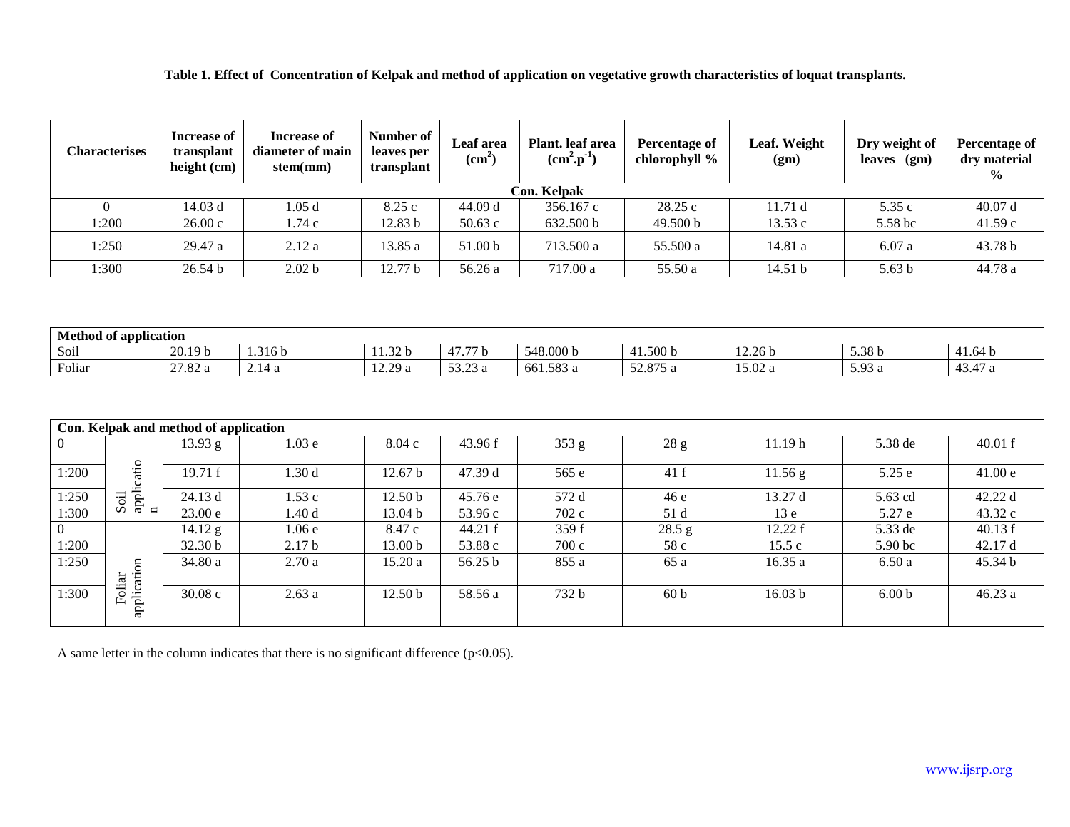# **Table 1. Effect of Concentration of Kelpak and method of application on vegetative growth characteristics of loquat transplants.**

| <b>Characterises</b> | Increase of<br>transplant<br>height $(cm)$ | Increase of<br>diameter of main<br>stem(mm) | Number of<br>leaves per<br>transplant | Leaf area<br>$(cm^2)$ | <b>Plant.</b> leaf area<br>$(cm^2.p^{-1})$ | Percentage of<br>chlorophyll % | Leaf. Weight<br>(gm) | Dry weight of<br>leaves (gm) | Percentage of<br>dry material<br>$\%$ |  |
|----------------------|--------------------------------------------|---------------------------------------------|---------------------------------------|-----------------------|--------------------------------------------|--------------------------------|----------------------|------------------------------|---------------------------------------|--|
| Con. Kelpak          |                                            |                                             |                                       |                       |                                            |                                |                      |                              |                                       |  |
|                      | 14.03 d                                    | 1.05d                                       | 8.25c                                 | 44.09 d               | 356.167 c                                  | 28.25c                         | 11.71 d              | 5.35c                        | 40.07 d                               |  |
| l:200                | 26.00c                                     | 1.74c                                       | 12.83 b                               | 50.63c                | 632.500 b                                  | 49.500 b                       | 13.53c               | 5.58 bc                      | 41.59c                                |  |
| 1:250                | 29.47 a                                    | 2.12a                                       | 13.85 a                               | 51.00 b               | 713.500 a                                  | 55.500 a                       | 14.81a               | 6.07a                        | 43.78 b                               |  |
| 1:300                | 26.54 b                                    | 2.02 <sub>b</sub>                           | 12.77 b                               | 56.26 a               | 717.00 a                                   | 55.50 a                        | 14.51 b              | 5.63 b                       | 44.78 a                               |  |

| $\bullet$<br><b>Method of application</b> |                             |               |                |                                              |              |                                              |                    |                    |                          |  |
|-------------------------------------------|-----------------------------|---------------|----------------|----------------------------------------------|--------------|----------------------------------------------|--------------------|--------------------|--------------------------|--|
| Soil                                      | 20.19 <sub>b</sub><br>40.IJ | $-$<br>1.310D | 221<br>11.32 D | $-771$<br>n<br>∸                             | 200 b<br>548 | 1.500 b                                      | 12.26 <sub>b</sub> | ാറ<br><u>.38 D</u> | 1.04P                    |  |
| $\mathbf{r}$ $\mathbf{r}$<br>Foliar       | 2702<br>7.oz a              | 2.14 a        | 12.29 a        | $\sim$ $\sim$ $\sim$<br>.<br>a <i>دع</i> ن ر | 661.583 a    | $E^{\wedge}$ $O^{\wedge}E$<br>$J = 0.01 J$ u | 15.02a             | രാ<br>. <i>.</i>   | $\overline{a}$<br>т. . — |  |

| Con. Kelpak and method of application |                                     |         |                   |                    |         |       |                 |         |                   |         |
|---------------------------------------|-------------------------------------|---------|-------------------|--------------------|---------|-------|-----------------|---------|-------------------|---------|
| $\overline{0}$                        |                                     | 13.93 g | 1.03 <sub>e</sub> | 8.04c              | 43.96 f | 353 g | 28 <sub>g</sub> | 11.19h  | 5.38 de           | 40.01 f |
| 1:200                                 | atio                                | 19.71 f | 1.30 <sub>d</sub> | 12.67 b            | 47.39 d | 565 e | 41f             | 11.56 g | 5.25e             | 41.00 e |
| 1:250                                 | applica<br>n<br>$\overline{\sigma}$ | 24.13 d | 1.53c             | 12.50 <sub>b</sub> | 45.76 e | 572 d | 46e             | 13.27 d | 5.63 cd           | 42.22 d |
| 1:300                                 | $\mathcal{L}$                       | 23.00 e | 1.40d             | 13.04 <sub>b</sub> | 53.96 c | 702 c | 51 d            | 13e     | 5.27e             | 43.32 c |
| $\overline{0}$                        |                                     | 14.12 g | 1.06e             | 8.47 c             | 44.21 f | 359f  | 28.5 g          | 12.22 f | 5.33 de           | 40.13 f |
| 1:200                                 |                                     | 32.30 b | 2.17 <sub>b</sub> | 13.00 <sub>b</sub> | 53.88 c | 700 c | 58 c            | 15.5c   | 5.90 bc           | 42.17 d |
| 1:250                                 |                                     | 34.80 a | 2.70a             | 15.20a             | 56.25 b | 855 a | 65 a            | 16.35a  | 6.50a             | 45.34 b |
| 1:300                                 | application<br>oliar                | 30.08c  | 2.63a             | 12.50 <sub>b</sub> | 58.56 a | 732 b | 60 <sub>b</sub> | 16.03 b | 6.00 <sub>b</sub> | 46.23a  |

A same letter in the column indicates that there is no significant difference  $(p<0.05)$ .